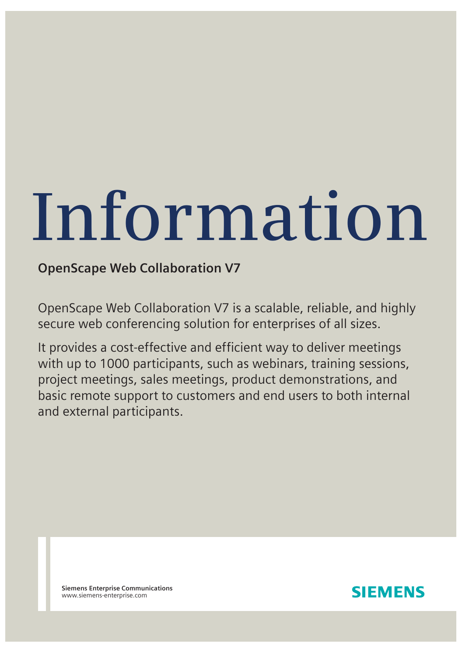# **Information**

# **OpenScape Web Collaboration V7**

OpenScape Web Collaboration V7 is a scalable, reliable, and highly secure web conferencing solution for enterprises of all sizes.

It provides a cost-effective and efficient way to deliver meetings with up to 1000 participants, such as webinars, training sessions, project meetings, sales meetings, product demonstrations, and basic remote support to customers and end users to both internal and external participants.

**Siemens Enterprise Communications** www.siemens-enterprise.com

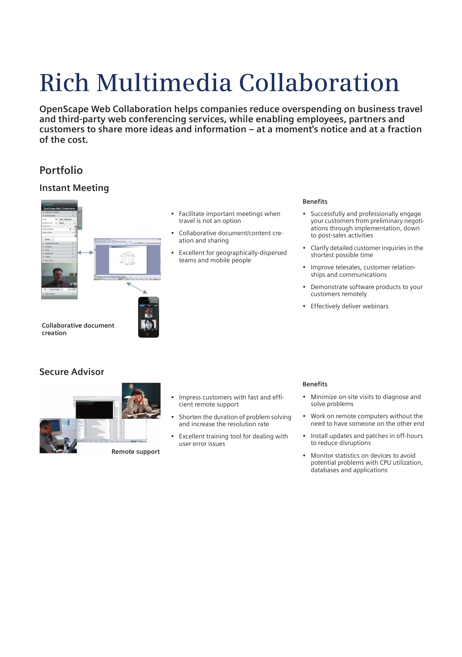# **Rich Multimedia Collaboration**

**OpenScape Web Collaboration helps companies reduce overspending on business travel and third-party web conferencing services, while enabling employees, partners and customers to share more ideas and information – at a moment's notice and at a fraction of the cost.**

# **Portfolio**

#### **Instant Meeting**



• Facilitate important meetings when travel is not an option

- Collaborative document/content creation and sharing
- Excellent for geographically-dispersed teams and mobile people

#### **Benefits**

- Successfully and professionally engage your customers from preliminary negotiations through implementation, down to post-sales activities
- Clarify detailed customer inquiries in the shortest possible time
- Improve telesales, customer relationships and communications
- Demonstrate software products to your customers remotely
- **Effectively deliver webinars**

**Collaborative document creation**

## **Secure Advisor**



- Impress customers with fast and efficient remote support
- Shorten the duration of problem solving and increase the resolution rate
- Excellent training tool for dealing with user error issues

#### **Benefits**

- Minimize on-site visits to diagnose and solve problems
- Work on remote computers without the need to have someone on the other end
- Install updates and patches in off-hours to reduce disruptions
- Monitor statistics on devices to avoid potential problems with CPU utilization, databases and applications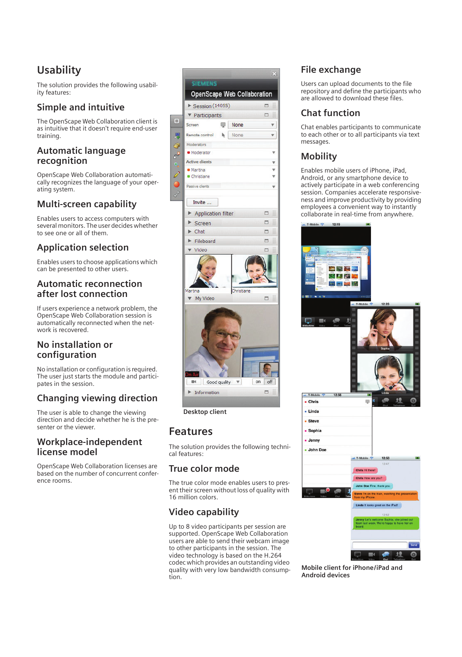# **Usability**

The solution provides the following usability features:

# **Simple and intuitive**

The OpenScape Web Collaboration client is as intuitive that it doesn't require end-user training.

#### **Automatic language recognition**

OpenScape Web Collaboration automatically recognizes the language of your operating system.

# **Multi-screen capability**

Enables users to access computers with several monitors. The user decides whether to see one or all of them.

# **Application selection**

Enables users to choose applications which can be presented to other users.

#### **Automatic reconnection after lost connection**

If users experience a network problem, the OpenScape Web Collaboration session is automatically reconnected when the network is recovered.

# **No installation or configuration**

No installation or configuration is required. The user just starts the module and participates in the session.

# **Changing viewing direction**

The user is able to change the viewing direction and decide whether he is the presenter or the viewer.

#### **Workplace-independent license model**

OpenScape Web Collaboration licenses are based on the number of concurrent conference rooms.

| ▶ Session (14055)<br>▼ Participants<br>ę<br>$\mathbb{R}$ | OpenScape Web Collaboration<br>None<br>None | $\Box$<br>$\Box$                          |
|----------------------------------------------------------|---------------------------------------------|-------------------------------------------|
|                                                          |                                             |                                           |
|                                                          |                                             |                                           |
|                                                          |                                             |                                           |
|                                                          |                                             |                                           |
|                                                          |                                             |                                           |
|                                                          |                                             |                                           |
|                                                          |                                             |                                           |
|                                                          |                                             |                                           |
|                                                          |                                             |                                           |
|                                                          |                                             |                                           |
|                                                          |                                             |                                           |
|                                                          |                                             |                                           |
|                                                          |                                             |                                           |
|                                                          |                                             | ō                                         |
|                                                          |                                             | $\Box$                                    |
|                                                          |                                             | □                                         |
|                                                          |                                             | O                                         |
|                                                          |                                             | □                                         |
|                                                          | Christiane                                  | ö                                         |
|                                                          | $\boldsymbol{\mathrm{v}}$                   | on<br>off                                 |
|                                                          |                                             | o                                         |
|                                                          | Information<br>Desktop client               | <b>Application filter</b><br>Good quality |

# **Features**

The solution provides the following technical features:

# **True color mode**

The true color mode enables users to present their screen without loss of quality with 16 million colors.

# **Video capability**

Up to 8 video participants per session are supported. OpenScape Web Collaboration users are able to send their webcam image to other participants in the session. The video technology is based on the H.264 codec which provides an outstanding video quality with very low bandwidth consumption.

# **File exchange**

Users can upload documents to the file repository and define the participants who are allowed to download these files.

# **Chat function**

Chat enables participants to communicate to each other or to all participants via text messages.

# **Mobility**

Enables mobile users of iPhone, iPad, Android, or any smartphone device to actively participate in a web conferencing session. Companies accelerate responsiveness and improve productivity by providing employees a convenient way to instantly collaborate in real-time from anywhere.

|                                   | æ                                                                                        |
|-----------------------------------|------------------------------------------------------------------------------------------|
|                                   |                                                                                          |
|                                   |                                                                                          |
|                                   |                                                                                          |
|                                   |                                                                                          |
|                                   |                                                                                          |
|                                   |                                                                                          |
|                                   |                                                                                          |
| <b>SM 2 4 4 8</b>                 | $18 - \frac{3}{2}$                                                                       |
|                                   | L.T-Mobile<br>12:20                                                                      |
|                                   |                                                                                          |
| d                                 |                                                                                          |
|                                   |                                                                                          |
|                                   |                                                                                          |
|                                   |                                                                                          |
|                                   |                                                                                          |
|                                   |                                                                                          |
|                                   |                                                                                          |
|                                   |                                                                                          |
|                                   |                                                                                          |
| $\cdot$ T-Mobile $\odot$<br>12:56 | Lind<br>×                                                                                |
| • Chris                           | 哩                                                                                        |
| • Linda                           |                                                                                          |
| - Steve                           |                                                                                          |
| • Sophia                          |                                                                                          |
|                                   |                                                                                          |
| - Jenny                           |                                                                                          |
|                                   |                                                                                          |
| John Doe                          | F.                                                                                       |
|                                   | 12:47                                                                                    |
|                                   | Chris Hi there!                                                                          |
|                                   | Chris How are you?                                                                       |
|                                   | John Doe Fine, thank you.                                                                |
|                                   | Steve I'm on the train, watching the presentation<br>from my iPhone.                     |
|                                   | Linda It looks great on the iPad!                                                        |
|                                   | 12:52                                                                                    |
|                                   | Jenny Let's welcome Sophia, she joined out<br>team last week. We're happy to have her on |
|                                   | board.                                                                                   |
|                                   |                                                                                          |
|                                   | Send<br>$\omega$                                                                         |

**Mobile client for iPhone/iPad and Android devices**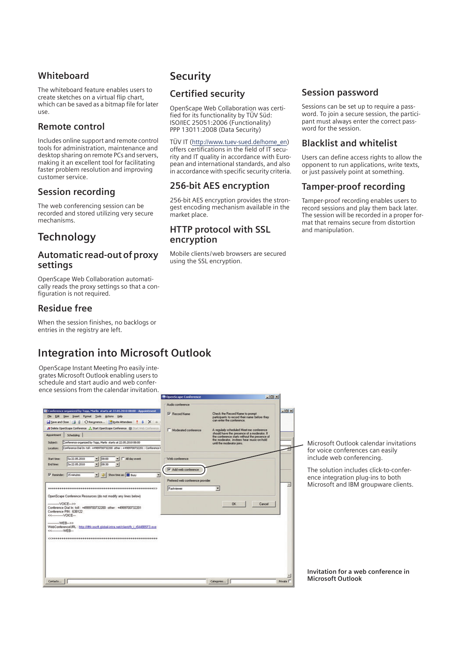# **Whiteboard**

The whiteboard feature enables users to create sketches on a virtual flip chart, which can be saved as a bitmap file for later use.

# **Remote control**

Includes online support and remote control tools for administration, maintenance and desktop sharing on remote PCs and servers, making it an excellent tool for facilitating faster problem resolution and improving customer service.

#### **Session recording**

The web conferencing session can be recorded and stored utilizing very secure mechanisms.

# **Technology**

#### **Automatic read-out of proxy settings**

OpenScape Web Collaboration automatically reads the proxy settings so that a configuration is not required.

## **Residue free**

When the session finishes, no backlogs or entries in the registry are left.

# **Integration into Microsoft Outlook**

OpenScape Instant Meeting Pro easily integrates Microsoft Outlook enabling users to schedule and start audio and web conference sessions from the calendar invitation.

# **Security**

# **Certified security**

OpenScape Web Collaboration was certified for its functionality by TÜV Süd: ISO/IEC 25051:2006 (Functionality) PPP 13011:2008 (Data Security)

#### TÜV IT (<u>http://www.tuev-sued.de/home\_en</u>)

offers certifications in the field of IT security and IT quality in accordance with European and international standards, and also in accordance with specific security criteria.

## **256-bit AES encryption**

256-bit AES encryption provides the strongest encoding mechanism available in the market place.

#### **HTTP protocol with SSL encryption**

Mobile clients/web browsers are secured using the SSL encryption.

**Limited** 

#### **Session password**

Sessions can be set up to require a password. To join a secure session, the participant must always enter the correct password for the session.

## **Blacklist and whitelist**

Users can define access rights to allow the opponent to run applications, write texts, or just passively point at something.

## **Tamper-proof recording**

Tamper-proof recording enables users to record sessions and play them back later. The session will be recorded in a proper format that remains secure from distortion and manipulation.

oft Outlook calendar invitations ce conferences can easily e web conferencing.

Iution includes click-to-conferntegration plug-ins to both oft and IBM groupware clients.

**Invitation for a web conference in Microsoft Outlook**

| Conference organized by Topp, Marlis starts at 22.05.2010 08:00 - Appointment<br>Elle Edit View Insert Format Tools Actions Help<br>Save and Close   4   C Recymence   Boyte Attendees   8   X   a<br>/ Delete OpenScape Conference / Start OpenScape Conference (B) Start With Conference<br><b>Appointment</b><br>Scheduling<br>Conference organized by Topp, Maris starts at 22.05.2010 08:00<br>Subtect:<br>Conference Dial In: toll: +4989700732200 other: +4989700732201 : Conference II<br>Locations<br>$-108:00$<br>Sa 22.05.2010<br>$ \Box$ All day event<br>Start time:<br>$- 00:30$<br>54 22.05.2010<br>End time: | Audio conference<br><b>Ⅳ</b> Record Name<br>Moderated conterence<br>Web conference | Check the Record Name to prompt<br>paticipants to record their name before they.<br>can enter the conference.<br>A regularly scheduled Meet-me conference<br>should have the presence of a moderator. If<br>the conference starts without the presence of<br>the moderator, invitees hear music-on-hold<br>until the moderator joins. | $-101 \times$<br>Micros<br>for voie<br>include |
|------------------------------------------------------------------------------------------------------------------------------------------------------------------------------------------------------------------------------------------------------------------------------------------------------------------------------------------------------------------------------------------------------------------------------------------------------------------------------------------------------------------------------------------------------------------------------------------------------------------------------|------------------------------------------------------------------------------------|---------------------------------------------------------------------------------------------------------------------------------------------------------------------------------------------------------------------------------------------------------------------------------------------------------------------------------------|------------------------------------------------|
| v   Uc Show time as:   Busy<br>Reminder: 15 minutes<br>OpenScape Conference Resources (do not modify any lines below)<br>------------VOICE--->><br>Conference Dial In: toll: +4989700732200 other: +4989700732201<br>Conference PIN: 638122                                                                                                                                                                                                                                                                                                                                                                                  | Add web conference<br>Prefered web conference provider<br>Fastviewer               | 写<br>OK.<br>Cancel                                                                                                                                                                                                                                                                                                                    | The so<br>ence ir<br>Micros<br>Ξ               |
| WEB>><br>WebConferenceURL: http://iftfv.gscft.global-intra.net/client/fv i r544885F3.exe<br><<------------WEB---                                                                                                                                                                                                                                                                                                                                                                                                                                                                                                             |                                                                                    |                                                                                                                                                                                                                                                                                                                                       | Invitat                                        |
| Contacts                                                                                                                                                                                                                                                                                                                                                                                                                                                                                                                                                                                                                     |                                                                                    | Categories                                                                                                                                                                                                                                                                                                                            | Micros<br>Private I                            |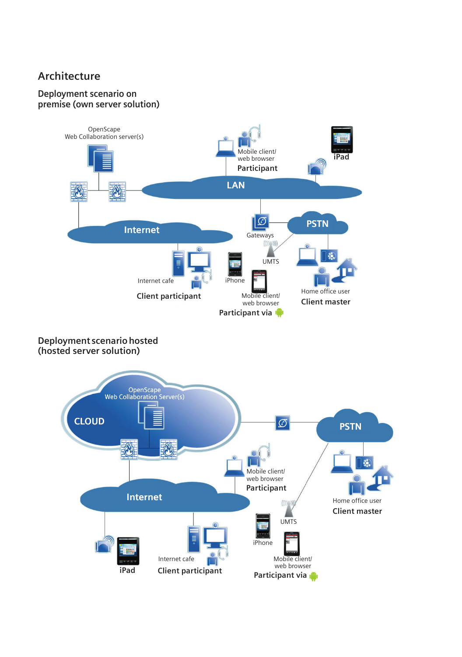# **Architecture**

## **Deployment scenario on premise (own server solution)**



## **Deployment scenario hosted (hosted server solution)**

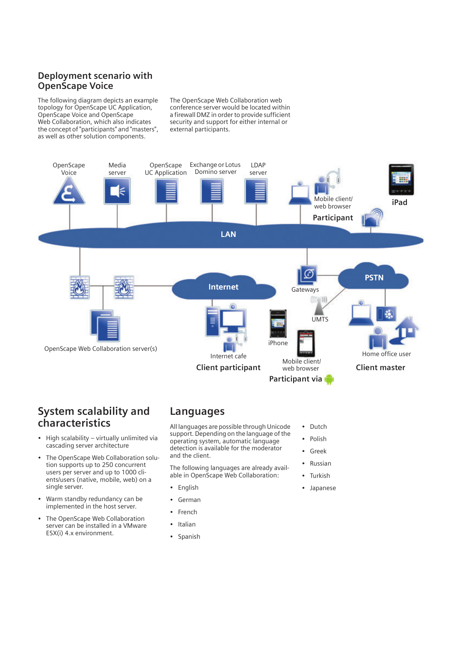# **Deployment scenario with OpenScape Voice**

The following diagram depicts an example topology for OpenScape UC Application, OpenScape Voice and OpenScape Web Collaboration, which also indicates the concept of "participants" and "masters", as well as other solution components.

The OpenScape Web Collaboration web conference server would be located within a firewall DMZ in order to provide sufficient security and support for either internal or external participants.



# **System scalability and characteristics**

- High scalability virtually unlimited via cascading server architecture
- The OpenScape Web Collaboration solution supports up to 250 concurrent users per server and up to 1000 clients/users (native, mobile, web) on a single server.
- Warm standby redundancy can be implemented in the host server.
- The OpenScape Web Collaboration server can be installed in a VMware ESX(i) 4.x environment.

# **Languages**

All languages are possible through Unicode support. Depending on the language of the operating system, automatic language detection is available for the moderator and the client.

The following languages are already available in OpenScape Web Collaboration:

- English
- **German**
- **French**
- Italian
- Spanish
- Dutch
- Polish
- Greek
- Russian
- Turkish
- Japanese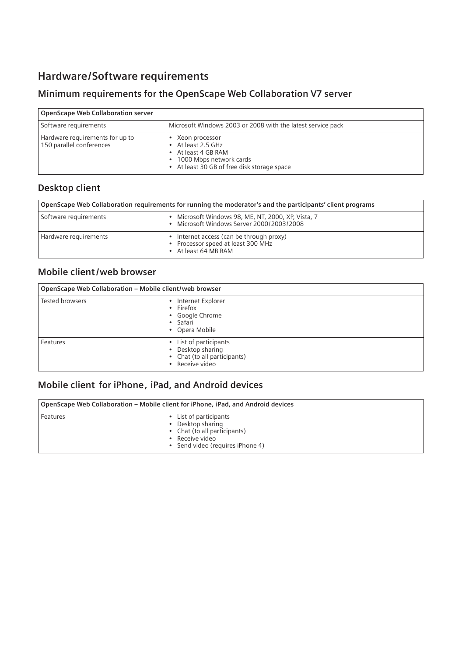# **Hardware/Software requirements**

# **Minimum requirements for the OpenScape Web Collaboration V7 server**

| <b>OpenScape Web Collaboration server</b>                   |                                                                                                                                 |
|-------------------------------------------------------------|---------------------------------------------------------------------------------------------------------------------------------|
| Software requirements                                       | Microsoft Windows 2003 or 2008 with the latest service pack                                                                     |
| Hardware requirements for up to<br>150 parallel conferences | Xeon processor<br>At least 2.5 GHz<br>At least 4 GB RAM<br>1000 Mbps network cards<br>At least 30 GB of free disk storage space |

# **Desktop client**

| OpenScape Web Collaboration requirements for running the moderator's and the participants' client programs |                                                                                                  |
|------------------------------------------------------------------------------------------------------------|--------------------------------------------------------------------------------------------------|
| Software requirements                                                                                      | Microsoft Windows 98, ME, NT, 2000, XP, Vista, 7<br>Microsoft Windows Server 2000/2003/2008      |
| Hardware requirements                                                                                      | Internet access (can be through proxy)<br>Processor speed at least 300 MHz<br>At least 64 MB RAM |

# **Mobile client /web browser**

| OpenScape Web Collaboration - Mobile client/web browser |                                                                                                |
|---------------------------------------------------------|------------------------------------------------------------------------------------------------|
| <b>Tested browsers</b>                                  | Internet Explorer<br>$\bullet$ Firefox<br>• Google Chrome<br>• Safari<br>• Opera Mobile        |
| Features                                                | • List of participants<br>• Desktop sharing<br>• Chat (to all participants)<br>• Receive video |

# **Mobile client for iPhone, iPad, and Android devices**

|          | OpenScape Web Collaboration – Mobile client for iPhone, iPad, and Android devices                                                  |
|----------|------------------------------------------------------------------------------------------------------------------------------------|
| Features | • List of participants<br>• Desktop sharing<br>• Chat (to all participants)<br>• Receive video<br>• Send video (requires iPhone 4) |